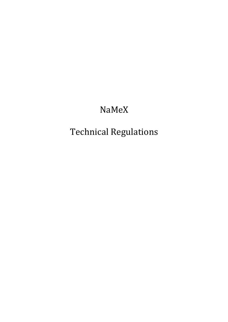## NaMeX

# Technical!Regulations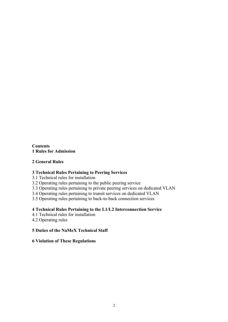**Contents 1 Rules for Admission**

## **2 General Rules**

#### **3 Technical Rules Pertaining to Peering Services**

3.1 Technical rules for installation

3.2 Operating rules pertaining to the public peering service

3.3 Operating rules pertaining to private peering services on dedicated VLAN

3.4 Operating rules pertaining to transit services on dedicated VLAN

3.5 Operating rules pertaining to back-to-back connection services

#### **4 Technical Rules Pertaining to the L1/L2 Interconnection Service**

4.1 Technical rules for installation

4.2 Operating rules

#### **5 Duties of the NaMeX Technical Staff**

#### **6 Violation of These Regulations**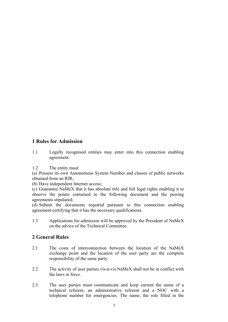## **1 Rules for Admission**

- 1.1 Legally recognised entities may enter into this connection enabling agreement.
- 1.2 The entity must:

(a) Possess its own Autonomous System Number and classes of public networks obtained from an RIR;

(b) Have independent Internet access;

(c) Guarantee NaMeX that it has absolute title and full legal rights enabling it to observe the points contained in the following document and the peering agreements stipulated;

(d) Submit the documents required pursuant to this connection enabling agreement certifying that it has the necessary qualifications.

1.3 Applications for admission will be approved by the President of NaMeX on the advice of the Technical Committee.

## **2 General Rules**

- 2.1 The costs of interconnection between the location of the NaMeX exchange point and the location of the user party are the complete responsibility of the same party.
- 2.2 The activity of user parties vis-à-vis NaMeX shall not be in conflict with the laws in force.
- 2.3 The user parties must communicate and keep current the name of a technical referent, an administrative referent and a NOC with a telephone number for emergencies. The name, the role filled in the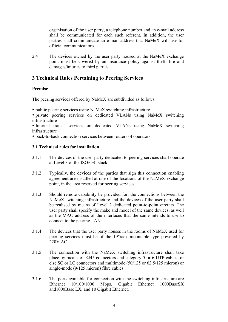organisation of the user party, a telephone number and an e-mail address shall be communicated for each such referent. In addition, the user parties shall communicate an e-mail address that NaMeX will use for official communications.

2.4 The devices owned by the user party housed at the NaMeX exchange point must be covered by an insurance policy against theft, fire and damages/injuries to third parties.

## **3 Technical Rules Pertaining to Peering Services**

#### **Premise**

The peering services offered by NaMeX are subdivided as follows:

• public peering services using NaMeX switching infrastructure

• private peering services on dedicated VLANs using NaMeX switching infrastructure

• Internet transit services on dedicated VLANs using NaMeX switching infrastructure

• back-to-back connection services between routers of operators.

#### **3.1 Technical rules for installation**

- 3.1.1 The devices of the user party dedicated to peering services shall operate at Level 3 of the ISO/OSI stack.
- 3.1.2 Typically, the devices of the parties that sign this connection enabling agreement are installed at one of the locations of the NaMeX exchange point, in the area reserved for peering services.
- 3.1.3 Should remote capability be provided for, the connections between the NaMeX switching infrastructure and the devices of the user party shall be realised by means of Level 2 dedicated point-to-point circuits. The user party shall specify the make and model of the same devices, as well as the MAC address of the interfaces that the same intends to use to connect to the peering LAN.
- 3.1.4 The devices that the user party houses in the rooms of NaMeX used for peering services must be of the 19"rack mountable type powered by 220V AC.
- 3.1.5 The connection with the NaMeX switching infrastructure shall take place by means of RJ45 connectors and category 5 or 6 UTP cables, or else SC or LC connectors and multimode (50/125 or 62.5/125 micron) or single-mode (9/125 micron) fibre cables.
- 3.1.6 The ports available for connection with the switching infrastructure are Ethernet 10/100/1000 Mbps. Gigabit Ethernet 1000BaseSX and1000Base LX, and 10 Gigabit Ethernet.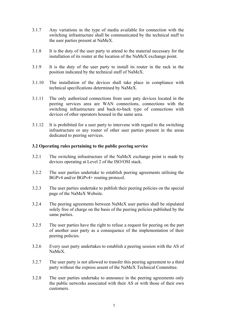- 3.1.7 Any variations in the type of media available for connection with the switching infrastructure shall be communicated by the technical staff to the user parties present at NaMeX.
- 3.1.8 It is the duty of the user party to attend to the material necessary for the installation of its router at the location of the NaMeX exchange point.
- 3.1.9 It is the duty of the user party to install its router in the rack in the position indicated by the technical staff of NaMeX.
- 3.1.10 The installation of the devices shall take place in compliance with technical specifications determined by NaMeX.
- 3.1.11 The only authorized connections from user paty devices located in the peering services area are WAN connections, connections with the switching infrastructure and back-to-back type of connections with devices of other operators housed in the same area.
- 3.1.12 It is prohibited for a user party to intervene with regard to the switching infrastructure or any router of other user parties present in the areas dedicated to peering services.

#### **3.2 Operating rules pertaining to the public peering service**

- 3.2.1 The switching infrastructure of the NaMeX exchange point is made by devices operating at Level 2 of the ISO/OSI stack.
- 3.2.2 The user parties undertake to establish peering agreements utilising the BGPv4 and/or BGPv4+ routing protocol.
- 3.2.3 The user parties undertake to publish their peering policies on the special page of the NaMeX Website.
- 3.2.4 The peering agreements between NaMeX user parties shall be stipulated solely free of charge on the basis of the peering policies published by the same parties.
- 3.2.5 The user parties have the right to refuse a request for peering on the part of another user party as a consequence of the implementation of their peering policies.
- 3.2.6 Every user party undertakes to establish a peering session with the AS of NaMeX.
- 3.2.7 The user party is not allowed to transfer this peering agreement to a third party without the express assent of the NaMeX Technical Committee.
- 3.2.8 The user parties undertake to announce in the peering agreements only the public networks associated with their AS or with those of their own customers.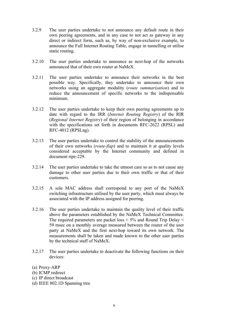- 3.2.9 The user parties undertake to not announce any default route in their own peering agreements, and in any case to not act as gateway in any direct or indirect form, such as, by way of non-exclusive example, to announce the Full Internet Routing Table, engage in tunnelling or utilise static routing.
- 3.2.10 The user parties undertake to announce as next-hop of the networks announced that of their own router at NaMeX.
- 3.2.11 The user parties undertake to announce their networks in the best possible way. Specifically, they undertake to announce their own networks using an aggregate modality (*route summarisation*) and to reduce the announcement of specific networks to the indispensable minimum.
- 3.2.12 The user parties undertake to keep their own peering agreements up to date with regard to the IRR (*Internet Routing Registry*) of the RIR (*Regional Internet Registry*) of their region of belonging in accordance with the specifications set forth in documents RFC-2622 (RPSL) and RFC-4012 (RPSLng).
- 3.2.13 The user parties undertake to control the stability of the announcements of their own networks (*route-flap*) and to maintain it at quality levels considered acceptable by the Internet community and defined in document ripe-229.
- 3.2.14 The user parties undertake to take the utmost care so as to not cause any damage to other user parties due to their own traffic or that of their customers.
- 3.2.15 A sole MAC address shall correspond to any port of the NaMeX switching infrastructure utilised by the user party, which must always be associated with the IP address assigned for peering.
- 3.2.16 The user parties undertake to maintain the quality level of their traffic above the parameters established by the NaMeX Technical Committee. The required parameters are packet loss  $\leq$  5% and Round Trip Delay  $\leq$ 59 msec on a monthly average measured between the router of the user party at NaMeX and the first next-hop toward its own network. The measurements shall be taken and made known to the other user parties by the technical staff of NaMeX.
- 3.2.17 The user parties undertake to deactivate the following functions on their devices:
- (a) Proxy-ARP
- (b) ICMP redirect
- (c) IP direct broadcast
- (d) IEEE 802.1D Spanning tree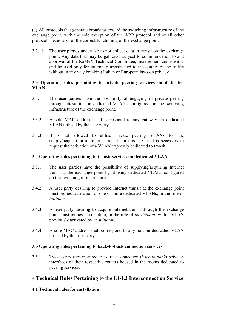(e) All protocols that generate broadcast toward the switching infrastructure of the exchange point, with the sole exception of the ARP protocol and of all other protocols necessary for the correct functioning of the exchange point.

3.2.18 The user parties undertake to not collect data in transit on the exchange point. Any data that may be gathered, subject to communication to and approval of the NaMeX Technical Committee, must remain confidential and be used only for internal purposes tied to the quality of the traffic without in any way breaking Italian or European laws on privacy.

#### **3.3 Operating rules pertaining to private peering services on dedicated VLAN**

- 3.3.1 The user parties have the possibility of engaging in private peering through attestation on dedicated VLANs configured on the switching infrastructure of the exchange point.
- 3.3.2 A sole MAC address shall correspond to any gateway on dedicated VLAN utilised by the user party.
- 3.3.3 It is not allowed to utilise private peering VLANs for the supply/acquisition of Internet transit; for this service it is necessary to request the activation of a VLAN expressly dedicated to transit.

#### **3.4 Operating rules pertaining to transit services on dedicated VLAN**

- 3.3.1 The user parties have the possibility of supplying/acquiring Internet transit at the exchange point by utilising dedicated VLANs configured on the switching infrastructure.
- 3.4.2 A user party desiring to provide Internet transit at the exchange point must request activation of one or more dedicated VLANs, in the role of *initiator*.
- 3.4.3 A user party desiring to acquire Internet transit through the exchange point must request association, in the role of *participant*, with a VLAN previously activated by an *initiator*.
- 3.4.4 A sole MAC address shall correspond to any port on dedicated VLAN utilised by the user party.

#### **3.5 Operating rules pertaining to back-to-back connection services**

3.5.1 Two user parties may request direct connection (*back-to-back*) between interfaces of their respective routers housed in the rooms dedicated to peering services.

## **4 Technical Rules Pertaining to the L1/L2 Interconnection Service**

#### **4.1 Technical rules for installation**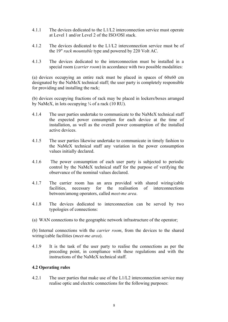- 4.1.1 The devices dedicated to the L1/L2 interconnection service must operate at Level 1 and/or Level 2 of the ISO/OSI stack.
- 4.1.2 The devices dedicated to the L1/L2 interconnection service must be of the 19" *rack mountable* type and powered by 220 Volt AC.
- 4.1.3 The devices dedicated to the interconnection must be installed in a special room (*carrier room*) in accordance with two possible modalities:

(a) devices occupying an entire rack must be placed in spaces of 60x60 cm designated by the NaMeX technical staff; the user party is completely responsible for providing and installing the rack;

(b) devices occupying fractions of rack may be placed in lockers/boxes arranged by NaMeX, in lots occupying  $\frac{1}{4}$  of a rack (10 RU).

- 4.1.4 The user parties undertake to communicate to the NaMeX technical staff the expected power consumption for each device at the time of installation, as well as the overall power consumption of the installed active devices.
- 4.1.5 The user parties likewise undertake to communicate in timely fashion to the NaMeX technical staff any variation in the power consumption values initially declared.
- 4.1.6 The power consumption of each user party is subjected to periodic control by the NaMeX technical staff for the purpose of verifying the observance of the nominal values declared.
- 4.1.7 The carrier room has an area provided with shared wiring/cable facilities, necessary for the realisation of interconnections between/among operators, called *meet-me area*.
- 4.1.8 The devices dedicated to interconnection can be served by two typologies of connections:
- (a) WAN connections to the geographic network infrastructure of the operator;

(b) Internal connections with the *carrier room*, from the devices to the shared wiring/cable facilities (*meet-me area*).

4.1.9 It is the task of the user party to realise the connections as per the preceding point, in compliance with these regulations and with the instructions of the NaMeX technical staff.

#### **4.2 Operating rules**

4.2.1 The user parties that make use of the L1/L2 interconnection service may realise optic and electric connections for the following purposes: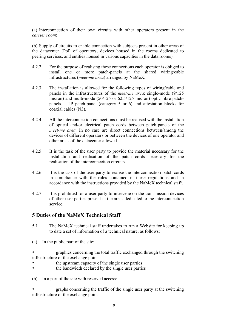(a) Interconnection of their own circuits with other operators present in the *carrier room*;

(b) Supply of circuits to enable connection with subjects present in other areas of the datacenter (PoP of operators, devices housed in the rooms dedicated to peering services, and entities housed in various capacities in the data rooms).

- 4.2.2 For the purpose of realising these connections each operator is obliged to install one or more patch-panels at the shared wiring/cable infrastructures (*meet-me area*) arranged by NaMeX.
- 4.2.3 The installation is allowed for the following types of wiring/cable and panels in the infrastructures of the *meet-me area*: single-mode (9/125 micron) and multi-mode (50/125 or 62.5/125 micron) optic fibre patchpanels, UTP patch-panel (category 5 or 6) and attestation blocks for coaxial cables (N3).
- 4.2.4 All the interconnection connections must be realised with the installation of optical and/or electrical patch cords between patch-panels of the *meet-me area*. In no case are direct connections between/among the devices of different operators or between the devices of one operator and other areas of the datacenter allowed.
- 4.2.5 It is the task of the user party to provide the material necessary for the installation and realisation of the patch cords necessary for the realisation of the interconnection circuits.
- 4.2.6 It is the task of the user party to realise the interconnection patch cords in compliance with the rules contained in these regulations and in accordance with the instructions provided by the NaMeX technical staff.
- 4.2.7 It is prohibited for a user party to intervene on the transmission devices of other user parties present in the areas dedicated to the interconnection service.

## **5 Duties of the NaMeX Technical Staff**

- 5.1 The NaMeX technical staff undertakes to run a Website for keeping up to date a set of information of a technical nature, as follows:
- (a) In the public part of the site:
- graphics concerning the total traffic exchanged through the switching infrastructure of the exchange point
- the upstream capacity of the single user parties
- the bandwidth declared by the single user parties
- (b) In a part of the site with reserved access:

• graphs concerning the traffic of the single user party at the switching infrastructure of the exchange point